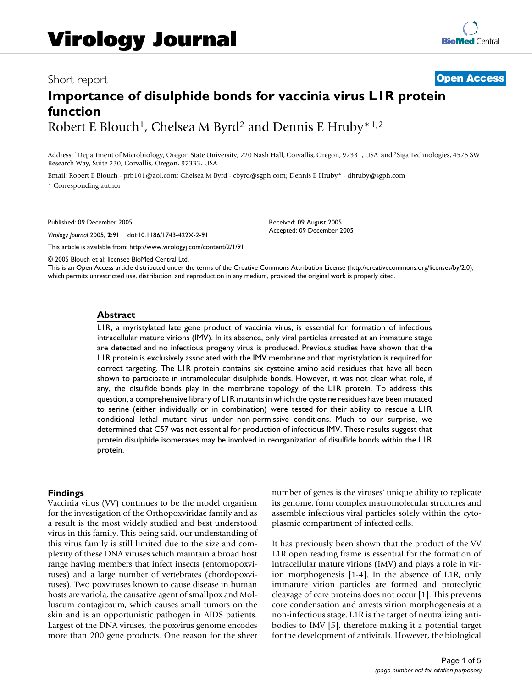# Short report **[Open Access](http://www.biomedcentral.com/info/about/charter/)**

# **Importance of disulphide bonds for vaccinia virus L1R protein function** Robert E Blouch<sup>1</sup>, Chelsea M Byrd<sup>2</sup> and Dennis E Hruby<sup>\*1,2</sup>

Address: 1Department of Microbiology, Oregon State University, 220 Nash Hall, Corvallis, Oregon, 97331, USA and 2Siga Technologies, 4575 SW Research Way, Suite 230, Corvallis, Oregon, 97333, USA

Email: Robert E Blouch - prb101@aol.com; Chelsea M Byrd - cbyrd@sgph.com; Dennis E Hruby\* - dhruby@sgph.com \* Corresponding author

Published: 09 December 2005

*Virology Journal* 2005, **2**:91 doi:10.1186/1743-422X-2-91

[This article is available from: http://www.virologyj.com/content/2/1/91](http://www.virologyj.com/content/2/1/91)

Received: 09 August 2005 Accepted: 09 December 2005

© 2005 Blouch et al; licensee BioMed Central Ltd.

This is an Open Access article distributed under the terms of the Creative Commons Attribution License [\(http://creativecommons.org/licenses/by/2.0\)](http://creativecommons.org/licenses/by/2.0), which permits unrestricted use, distribution, and reproduction in any medium, provided the original work is properly cited.

## **Abstract**

L1R, a myristylated late gene product of vaccinia virus, is essential for formation of infectious intracellular mature virions (IMV). In its absence, only viral particles arrested at an immature stage are detected and no infectious progeny virus is produced. Previous studies have shown that the L1R protein is exclusively associated with the IMV membrane and that myristylation is required for correct targeting. The L1R protein contains six cysteine amino acid residues that have all been shown to participate in intramolecular disulphide bonds. However, it was not clear what role, if any, the disulfide bonds play in the membrane topology of the L1R protein. To address this question, a comprehensive library of L1R mutants in which the cysteine residues have been mutated to serine (either individually or in combination) were tested for their ability to rescue a L1R conditional lethal mutant virus under non-permissive conditions. Much to our surprise, we determined that C57 was not essential for production of infectious IMV. These results suggest that protein disulphide isomerases may be involved in reorganization of disulfide bonds within the L1R protein.

# **Findings**

Vaccinia virus (VV) continues to be the model organism for the investigation of the Orthopoxviridae family and as a result is the most widely studied and best understood virus in this family. This being said, our understanding of this virus family is still limited due to the size and complexity of these DNA viruses which maintain a broad host range having members that infect insects (entomopoxviruses) and a large number of vertebrates (chordopoxviruses). Two poxviruses known to cause disease in human hosts are variola, the causative agent of smallpox and Molluscum contagiosum, which causes small tumors on the skin and is an opportunistic pathogen in AIDS patients. Largest of the DNA viruses, the poxvirus genome encodes more than 200 gene products. One reason for the sheer number of genes is the viruses' unique ability to replicate its genome, form complex macromolecular structures and assemble infectious viral particles solely within the cytoplasmic compartment of infected cells.

It has previously been shown that the product of the VV L1R open reading frame is essential for the formation of intracellular mature virions (IMV) and plays a role in virion morphogenesis [1-4]. In the absence of L1R, only immature virion particles are formed and proteolytic cleavage of core proteins does not occur [1]. This prevents core condensation and arrests virion morphogenesis at a non-infectious stage. L1R is the target of neutralizing antibodies to IMV [5], therefore making it a potential target for the development of antivirals. However, the biological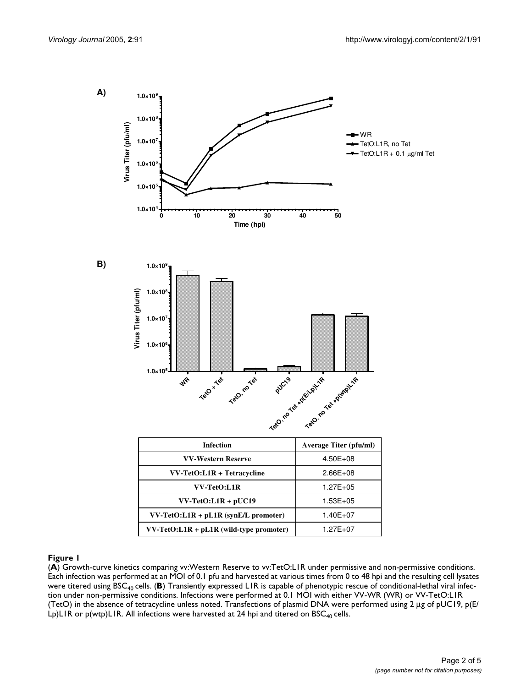

(**A**) Growth-curve kinetics comparing vv:Western Reserve to vv:TetO:L1R under permissive and non-permissive conditions. Each infection was performed at an MOI of 0.1 pfu and harvested at various times from 0 to 48 hpi and the resulting cell lysates were titered using BSC<sub>40</sub> cells. (**B**) Transiently expressed LIR is capable of phenotypic rescue of conditional-lethal viral infection under non-permissive conditions. Infections were performed at 0.1 MOI with either VV-WR (WR) or VV-TetO:L1R (TetO) in the absence of tetracycline unless noted. Transfections of plasmid DNA were performed using 2 µg of pUC19, p(E/ Lp)L1R or  $p(wtp)$ L1R. All infections were harvested at 24 hpi and titered on BSC<sub>40</sub> cells.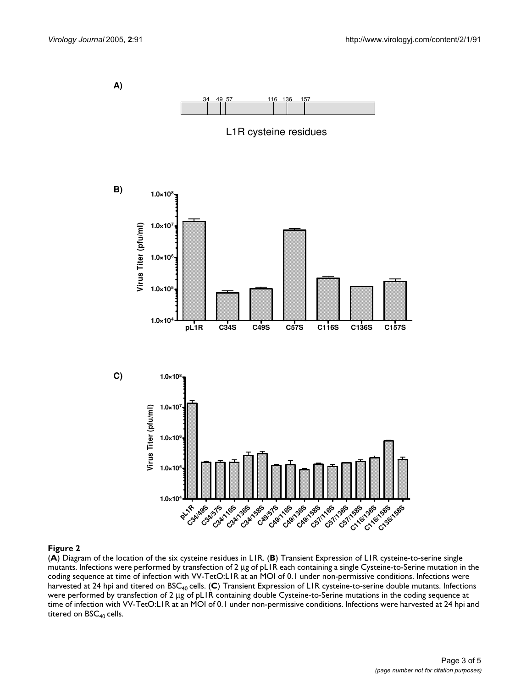

# Figure 2

(**A**) Diagram of the location of the six cysteine residues in L1R. (**B**) Transient Expression of L1R cysteine-to-serine single mutants. Infections were performed by transfection of 2 µg of pL1R each containing a single Cysteine-to-Serine mutation in the coding sequence at time of infection with VV-TetO:L1R at an MOI of 0.1 under non-permissive conditions. Infections were harvested at 24 hpi and titered on BSC40 cells. (**C**) Transient Expression of L1R cysteine-to-serine double mutants. Infections were performed by transfection of 2 µg of pL1R containing double Cysteine-to-Serine mutations in the coding sequence at time of infection with VV-TetO:L1R at an MOI of 0.1 under non-permissive conditions. Infections were harvested at 24 hpi and titered on  $BSC_{40}$  cells.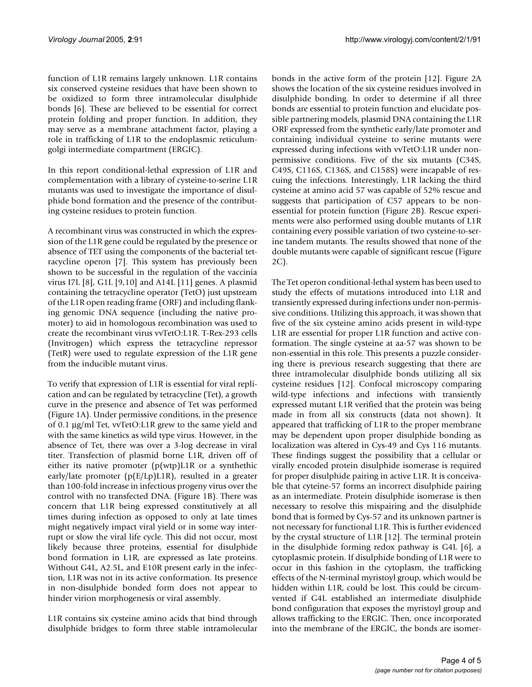function of L1R remains largely unknown. L1R contains six conserved cysteine residues that have been shown to be oxidized to form three intramolecular disulphide bonds [6]. These are believed to be essential for correct protein folding and proper function. In addition, they may serve as a membrane attachment factor, playing a role in trafficking of L1R to the endoplasmic reticulumgolgi intermediate compartment (ERGIC).

In this report conditional-lethal expression of L1R and complementation with a library of cysteine-to-serine L1R mutants was used to investigate the importance of disulphide bond formation and the presence of the contributing cysteine residues to protein function.

A recombinant virus was constructed in which the expression of the L1R gene could be regulated by the presence or absence of TET using the components of the bacterial tetracycline operon [7]. This system has previously been shown to be successful in the regulation of the vaccinia virus I7L [8], G1L [9,10] and A14L [11] genes. A plasmid containing the tetracycline operator (TetO) just upstream of the L1R open reading frame (ORF) and including flanking genomic DNA sequence (including the native promoter) to aid in homologous recombination was used to create the recombinant virus vvTetO:L1R. T-Rex-293 cells (Invitrogen) which express the tetracycline repressor (TetR) were used to regulate expression of the L1R gene from the inducible mutant virus.

To verify that expression of L1R is essential for viral replication and can be regulated by tetracycline (Tet), a growth curve in the presence and absence of Tet was performed (Figure 1A). Under permissive conditions, in the presence of 0.1 µg/ml Tet, vvTetO:L1R grew to the same yield and with the same kinetics as wild type virus. However, in the absence of Tet, there was over a 3-log decrease in viral titer. Transfection of plasmid borne L1R, driven off of either its native promoter (p(wtp)L1R or a synthethic early/late promoter (p(E/Lp)L1R), resulted in a greater than 100-fold increase in infectious progeny virus over the control with no transfected DNA. (Figure 1B). There was concern that L1R being expressed constitutively at all times during infection as opposed to only at late times might negatively impact viral yield or in some way interrupt or slow the viral life cycle. This did not occur, most likely because three proteins, essential for disulphide bond formation in L1R, are expressed as late proteins. Without G4L, A2.5L, and E10R present early in the infection, L1R was not in its active conformation. Its presence in non-disulphide bonded form does not appear to hinder virion morphogenesis or viral assembly.

L1R contains six cysteine amino acids that bind through disulphide bridges to form three stable intramolecular bonds in the active form of the protein [12]. Figure 2A shows the location of the six cysteine residues involved in disulphide bonding. In order to determine if all three bonds are essential to protein function and elucidate possible partnering models, plasmid DNA containing the L1R ORF expressed from the synthetic early/late promoter and containing individual cysteine to serine mutants were expressed during infections with vvTetO:L1R under nonpermissive conditions. Five of the six mutants (C34S, C49S, C116S, C136S, and C158S) were incapable of rescuing the infections. Interestingly, L1R lacking the third cysteine at amino acid 57 was capable of 52% rescue and suggests that participation of C57 appears to be nonessential for protein function (Figure 2B). Rescue experiments were also performed using double mutants of L1R containing every possible variation of two cysteine-to-serine tandem mutants. The results showed that none of the double mutants were capable of significant rescue (Figure 2C).

The Tet operon conditional-lethal system has been used to study the effects of mutations introduced into L1R and transiently expressed during infections under non-permissive conditions. Utilizing this approach, it was shown that five of the six cysteine amino acids present in wild-type L1R are essential for proper L1R function and active conformation. The single cysteine at aa-57 was shown to be non-essential in this role. This presents a puzzle considering there is previous research suggesting that there are three intramolecular disulphide bonds utilizing all six cysteine residues [12]. Confocal microscopy comparing wild-type infections and infections with transiently expressed mutant L1R verified that the protein was being made in from all six constructs (data not shown). It appeared that trafficking of L1R to the proper membrane may be dependent upon proper disulphide bonding as localization was altered in Cys-49 and Cys 116 mutants. These findings suggest the possibility that a cellular or virally encoded protein disulphide isomerase is required for proper disulphide pairing in active L1R. It is conceivable that cyteine-57 forms an incorrect disulphide pairing as an intermediate. Protein disulphide isomerase is then necessary to resolve this mispairing and the disulphide bond that is formed by Cys-57 and its unknown partner is not necessary for functional L1R. This is further evidenced by the crystal structure of L1R [12]. The terminal protein in the disulphide forming redox pathway is G4L [6], a cytoplasmic protein. If disulphide bonding of L1R were to occur in this fashion in the cytoplasm, the trafficking effects of the N-terminal myristoyl group, which would be hidden within L1R, could be lost. This could be circumvented if G4L established an intermediate disulphide bond configuration that exposes the myristoyl group and allows trafficking to the ERGIC. Then, once incorporated into the membrane of the ERGIC, the bonds are isomer